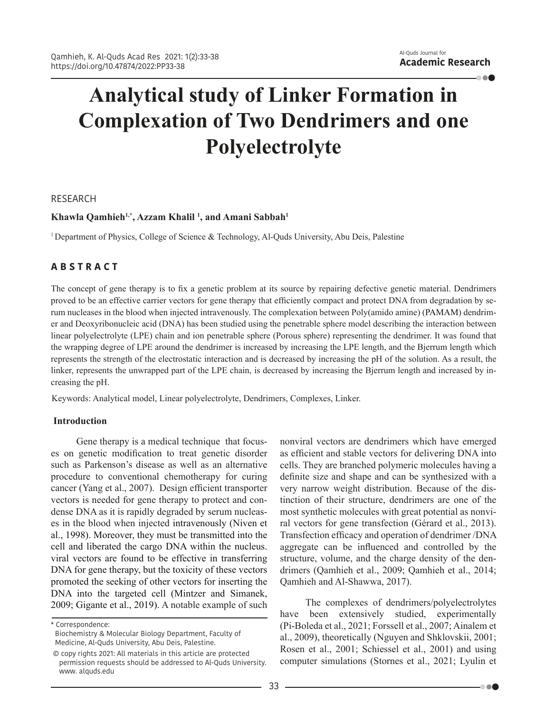. . . .

# **Analytical study of Linker Formation in Complexation of Two Dendrimers and one Polyelectrolyte**

## RESEARCH

# **Khawla Qamhieh1,\*, Azzam Khalil 1 , and Amani Sabbah1**

1 Department of Physics, College of Science & Technology, Al-Quds University, Abu Deis, Palestine

# **A B S T R A C T**

The concept of gene therapy is to fix a genetic problem at its source by repairing defective genetic material. Dendrimers proved to be an effective carrier vectors for gene therapy that efficiently compact and protect DNA from degradation by serum nucleases in the blood when injected intravenously. The complexation between Poly(amido amine) (PAMAM) dendrimer and Deoxyribonucleic acid (DNA) has been studied using the penetrable sphere model describing the interaction between linear polyelectrolyte (LPE) chain and ion penetrable sphere (Porous sphere) representing the dendrimer. It was found that the wrapping degree of LPE around the dendrimer is increased by increasing the LPE length, and the Bjerrum length which represents the strength of the electrostatic interaction and is decreased by increasing the pH of the solution. As a result, the linker, represents the unwrapped part of the LPE chain, is decreased by increasing the Bjerrum length and increased by increasing the pH.

Keywords: Analytical model, Linear polyelectrolyte, Dendrimers, Complexes, Linker.

## **Introduction**

Gene therapy is a medical technique that focuses on genetic modification to treat genetic disorder such as Parkenson's disease as well as an alternative procedure to conventional chemotherapy for curing cancer (Yang et al., 2007). Design efficient transporter vectors is needed for gene therapy to protect and condense DNA as it is rapidly degraded by serum nucleases in the blood when injected intravenously (Niven et al., 1998). Moreover, they must be transmitted into the cell and liberated the cargo DNA within the nucleus. viral vectors are found to be effective in transferring DNA for gene therapy, but the toxicity of these vectors promoted the seeking of other vectors for inserting the DNA into the targeted cell (Mintzer and Simanek, 2009; Gigante et al., 2019). A notable example of such

\* Correspondence:

nonviral vectors are dendrimers which have emerged as efficient and stable vectors for delivering DNA into cells. They are branched polymeric molecules having a definite size and shape and can be synthesized with a very narrow weight distribution. Because of the distinction of their structure, dendrimers are one of the most synthetic molecules with great potential as nonviral vectors for gene transfection (Gérard et al., 2013). Transfection efficacy and operation of dendrimer /DNA aggregate can be influenced and controlled by the structure, volume, and the charge density of the dendrimers (Qamhieh et al., 2009; Qamhieh et al., 2014; Qamhieh and Al-Shawwa, 2017).

The complexes of dendrimers/polyelectrolytes have been extensively studied, experimentally (Pi-Boleda et al., 2021; Forssell et al., 2007; Ainalem et al., 2009), theoretically (Nguyen and Shklovskii, 2001; Rosen et al., 2001; Schiessel et al., 2001) and using computer simulations (Stornes et al., 2021; Lyulin et

. . .

Biochemistry & Molecular Biology Department, Faculty of Medicine, Al-Quds University, Abu Deis, Palestine.

 <sup>©</sup> copy rights 2021: All materials in this article are protected permission requests should be addressed to Al-Quds University. www. alquds.edu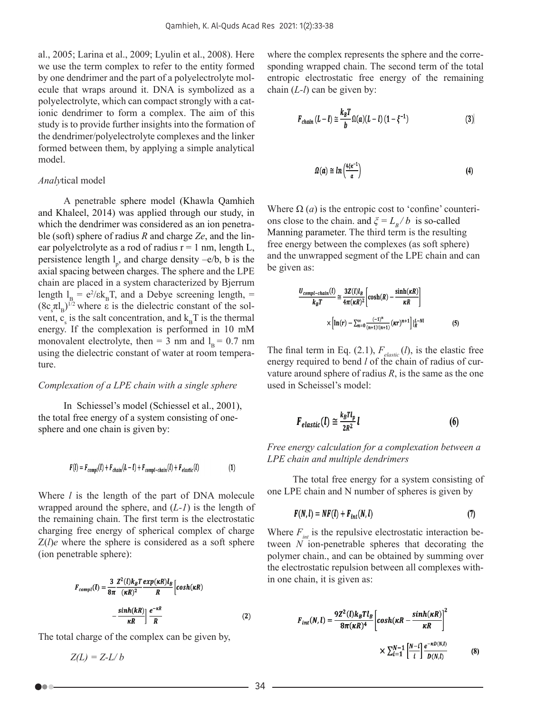al., 2005; Larina et al., 2009; Lyulin et al., 2008). Here we use the term complex to refer to the entity formed by one dendrimer and the part of a polyelectrolyte molecule that wraps around it. DNA is symbolized as a polyelectrolyte, which can compact strongly with a cationic dendrimer to form a complex. The aim of this study is to provide further insights into the formation of the dendrimer/polyelectrolyte complexes and the linker formed between them, by applying a simple analytical model.

#### *Analy*tical model

A penetrable sphere model (Khawla Qamhieh and Khaleel, 2014) was applied through our study, in which the dendrimer was considered as an ion penetrable (soft) sphere of radius *R* and charge *Ze*, and the linear polyelctrolyte as a rod of radius  $r = 1$  nm, length L, persistence length  $l_p$ , and charge density  $-e/b$ , b is the axial spacing between charges. The sphere and the LPE chain are placed in a system characterized by Bjerrum length  $l_B = e^2 / \epsilon k_B T$ , and a Debye screening length, =  $(8c<sub>s</sub> \pi I<sub>B</sub>)^{1/2}$  where  $\varepsilon$  is the dielectric constant of the solvent,  $c_s$  is the salt concentration, and  $k_B T$  is the thermal energy. If the complexation is performed in 10 mM monovalent electrolyte, then = 3 nm and  $l_B = 0.7$  nm using the dielectric constant of water at room temperature.

#### *Complexation of a LPE chain with a single sphere*

In Schiessel's model (Schiessel et al., 2001), the total free energy of a system consisting of onesphere and one chain is given by:

$$
F(l) = F_{compl}(l) + F_{chain}(L-l) + F_{compl-chain}(l) + F_{elastic}(l)
$$
\n(1)

Where *l* is the length of the part of DNA molecule wrapped around the sphere, and (*L-1*) is the length of the remaining chain. The first term is the electrostatic charging free energy of spherical complex of charge Z(*l*)*e* where the sphere is considered as a soft sphere (ion penetrable sphere):

$$
F_{compl}(l) = \frac{3}{8\pi} \frac{Z^2(l)k_B T}{(\kappa R)^2} \frac{exp(\kappa R)l_B}{R} \left[ cosh(\kappa R) - \frac{sinh(kR)}{\kappa R} \right] \frac{e^{-\kappa R}}{R}
$$
 (2)

The total charge of the complex can be given by,

$$
Z(L) = Z-L/b
$$

where the complex represents the sphere and the corresponding wrapped chain. The second term of the total entropic electrostatic free energy of the remaining chain (*L-l*) can be given by:

$$
F_{chain} (L - l) \cong \frac{k_B T}{b} \Omega(a)(L - l) (1 - \xi^{-1})
$$
\n(3)

$$
\Omega(a) \cong \ln\left(\frac{4\xi\kappa^{-1}}{a}\right) \tag{4}
$$

Where  $\Omega$  (*a*) is the entropic cost to 'confine' counterions close to the chain. and  $\zeta = L_B / b$  is so-called Manning parameter. The third term is the resulting free energy between the complexes (as soft sphere) and the unwrapped segment of the LPE chain and can be given as:

$$
\frac{U_{compl-chain}(l)}{k_B T} \cong \frac{3Z(l)l_B}{4\pi(\kappa R)^2} \left[ \cosh(R) - \frac{\sinh(\kappa R)}{\kappa R} \right]
$$

$$
\times \left[ \ln(r) - \sum_{n=0}^{\infty} \frac{(-1)^n}{(n+1)!(n+1)} (\kappa r)^{n+1} \right] \Big|_{R}^{l-Nl} \tag{5}
$$

The final term in Eq. (2.1),  $F_{elastic}$  (*l*), is the elastic free energy required to bend *l* of the chain of radius of curvature around sphere of radius *R*, is the same as the one used in Scheissel's model:

$$
F_{elastic}(l) \cong \frac{k_B T l_p}{2R^2} l \tag{6}
$$

*Free energy calculation for a complexation between a LPE chain and multiple dendrimers*

The total free energy for a system consisting of one LPE chain and N number of spheres is given by

$$
F(N,l) = NF(l) + F_{int}(N,l)
$$
\n(7)

Where  $F_{int}$  is the repulsive electrostatic interaction between *N* ion-penetrable spheres that decorating the polymer chain., and can be obtained by summing over the electrostatic repulsion between all complexes within one chain, it is given as:

$$
F_{int}(N, l) = \frac{9Z^2(l)k_B T l_B}{8\pi(\kappa R)^4} \left[ \cosh(\kappa R - \frac{\sinh(\kappa R)}{\kappa R}) \right]^2
$$

$$
\times \sum_{i=1}^{N-1} \left[ \frac{N-i}{i} \right] \frac{e^{-\kappa D(N, l)}}{D(N, l)} \tag{8}
$$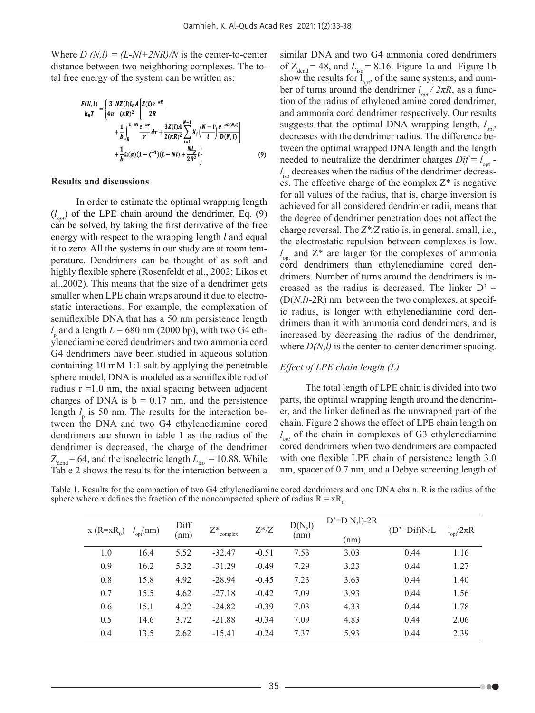Where  $D(N,l) = (L-Nl+2NR)/N$  is the center-to-center distance between two neighboring complexes. The total free energy of the system can be written as:

$$
\frac{F(N, l)}{k_B T} = \left\{ \frac{3}{4\pi} \frac{NZ(l)l_B A}{(\kappa R)^2} \left[ \frac{Z(l)e^{-\kappa R}}{2R} + \frac{1}{b} \int_R^{l-Ml} \frac{e^{-\kappa r}}{r} dr + \frac{3Z(l)A}{2(\kappa R)^2} \sum_{i=1}^{N-1} X_i \left( \frac{N-i}{t} \right) \frac{e^{-\kappa D(N, l)}}{D(N, l)} \right] + \frac{1}{b} \Omega(a)(1 - \xi^{-1})(L - Nl) + \frac{Nl_p}{2R^2} l \right\}
$$
(9)

## **Results and discussions**

In order to estimate the optimal wrapping length  $(l_{opt})$  of the LPE chain around the dendrimer, Eq. (9) can be solved, by taking the first derivative of the free energy with respect to the wrapping length *l* and equal it to zero. All the systems in our study are at room temperature. Dendrimers can be thought of as soft and highly flexible sphere (Rosenfeldt et al., 2002; Likos et al.,2002). This means that the size of a dendrimer gets smaller when LPE chain wraps around it due to electrostatic interactions. For example, the complexation of semiflexible DNA that has a 50 nm persistence length  $l_{\rm p}$  and a length  $L$  = 680 nm (2000 bp), with two G4 ethylenediamine cored dendrimers and two ammonia cord G4 dendrimers have been studied in aqueous solution containing 10 mM 1:1 salt by applying the penetrable sphere model, DNA is modeled as a semiflexible rod of radius  $r = 1.0$  nm, the axial spacing between adjacent charges of DNA is  $b = 0.17$  nm, and the persistence length  $l_p$  is 50 nm. The results for the interaction between the DNA and two G4 ethylenediamine cored dendrimers are shown in table 1 as the radius of the dendrimer is decreased, the charge of the dendrimer  $Z_{\text{dend}}$  = 64, and the isoelectric length  $L_{\text{iso}}$  = 10.88. While Table 2 shows the results for the interaction between a

similar DNA and two G4 ammonia cored dendrimers of  $Z_{\text{dend}}$  = 48, and  $L_{\text{iso}}$  = 8.16. Figure 1a and Figure 1b show the results for  $\int_{\text{opt}}^{\text{iso}}$ , of the same systems, and number of turns around the dendrimer  $l_{opt}$  /  $2\pi R$ , as a function of the radius of ethylenediamine cored dendrimer, and ammonia cord dendrimer respectively. Our results suggests that the optimal DNA wrapping length,  $l_{opt}$ , decreases with the dendrimer radius. The difference between the optimal wrapped DNA length and the length needed to neutralize the dendrimer charges  $Dif = l_{opt}$  *l*<sub>iso</sub> decreases when the radius of the dendrimer decreases. The effective charge of the complex  $Z^*$  is negative for all values of the radius, that is, charge inversion is achieved for all considered dendrimer radii, means that the degree of dendrimer penetration does not affect the charge reversal. The *Z\*/Z* ratio is, in general, small, i.e., the electrostatic repulsion between complexes is low.  $l_{opt}$  and  $Z^*$  are larger for the complexes of ammonia cord dendrimers than ethylenediamine cored dendrimers. Number of turns around the dendrimers is increased as the radius is decreased. The linker  $D' =$ (D(*N,l)*-2R) nm between the two complexes, at specific radius, is longer with ethylenediamine cord dendrimers than it with ammonia cord dendrimers, and is increased by decreasing the radius of the dendrimer, where  $D(N,l)$  is the center-to-center dendrimer spacing.

# *Effect of LPE chain length (L)*

The total length of LPE chain is divided into two parts, the optimal wrapping length around the dendrimer, and the linker defined as the unwrapped part of the chain. Figure 2 shows the effect of LPE chain length on  $l_{opt}$  of the chain in complexes of G3 ethylenediamine cored dendrimers when two dendrimers are compacted with one flexible LPE chain of persistence length 3.0 nm, spacer of 0.7 nm, and a Debye screening length of

-00

Table 1. Results for the compaction of two G4 ethylenediamine cored dendrimers and one DNA chain. R is the radius of the sphere where x defines the fraction of the noncompacted sphere of radius  $R = xR_0$ .

| $x(R=xR_0)$ | $l_{opt}(nm)$ | Diff | $Z^*$<br>complex | $Z^*/Z$ | D(N,l) | $D' = D N, l$ )-2R | $(D'+Dif)N/L$ | $I_{opt}/2\pi R$ |
|-------------|---------------|------|------------------|---------|--------|--------------------|---------------|------------------|
|             |               | (nm) |                  |         | (nm)   | (nm)               |               |                  |
| 1.0         | 16.4          | 5.52 | $-32.47$         | $-0.51$ | 7.53   | 3.03               | 0.44          | 1.16             |
| 0.9         | 16.2          | 5.32 | $-31.29$         | $-0.49$ | 7.29   | 3.23               | 0.44          | 1.27             |
| 0.8         | 15.8          | 4.92 | $-28.94$         | $-0.45$ | 7.23   | 3.63               | 0.44          | 1.40             |
| 0.7         | 15.5          | 4.62 | $-27.18$         | $-0.42$ | 7.09   | 3.93               | 0.44          | 1.56             |
| 0.6         | 15.1          | 4.22 | $-24.82$         | $-0.39$ | 7.03   | 4.33               | 0.44          | 1.78             |
| 0.5         | 14.6          | 3.72 | $-21.88$         | $-0.34$ | 7.09   | 4.83               | 0.44          | 2.06             |
| 0.4         | 13.5          | 2.62 | $-15.41$         | $-0.24$ | 7.37   | 5.93               | 0.44          | 2.39             |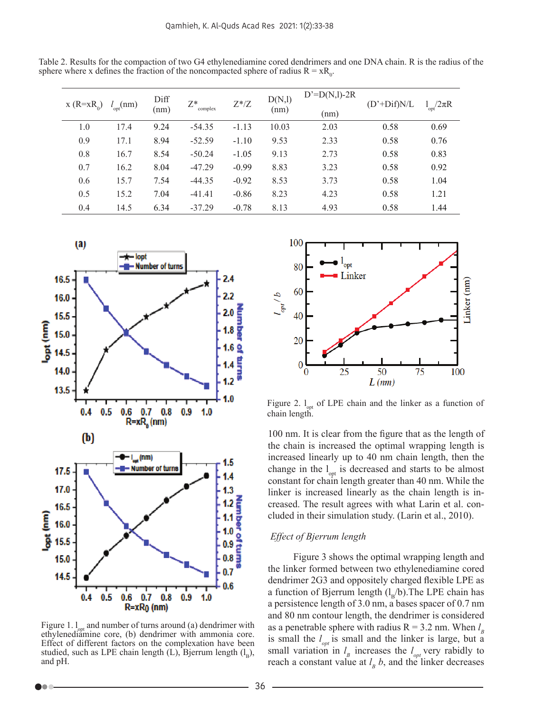Table 2. Results for the compaction of two G4 ethylenediamine cored dendrimers and one DNA chain. R is the radius of the sphere where x defines the fraction of the noncompacted sphere of radius  $R = xR_0$ .

| $X(R=xR_0)$ | $l_{\text{opt}}(nm)$ | Diff<br>(nm) | 7*<br>complex | $Z^*/Z$ | D(N,l)<br>(nm) | $D'=D(N,l)-2R$<br>(nm) | $(D'+Dif)N/L$ | $l_{opt}/2\pi R$ |
|-------------|----------------------|--------------|---------------|---------|----------------|------------------------|---------------|------------------|
| 1.0         | 17.4                 | 9.24         | $-54.35$      | $-1.13$ | 10.03          | 2.03                   | 0.58          | 0.69             |
| 0.9         | 17.1                 | 8.94         | $-52.59$      | $-1.10$ | 9.53           | 2.33                   | 0.58          | 0.76             |
| 0.8         | 16.7                 | 8.54         | $-50.24$      | $-1.05$ | 9.13           | 2.73                   | 0.58          | 0.83             |
| 0.7         | 16.2                 | 8.04         | $-47.29$      | $-0.99$ | 8.83           | 3.23                   | 0.58          | 0.92             |
| 0.6         | 15.7                 | 7.54         | $-44.35$      | $-0.92$ | 8.53           | 3.73                   | 0.58          | 1.04             |
| 0.5         | 15.2                 | 7.04         | $-41.41$      | $-0.86$ | 8.23           | 4.23                   | 0.58          | 1.21             |
| 0.4         | 14.5                 | 6.34         | $-37.29$      | $-0.78$ | 8.13           | 4.93                   | 0.58          | 1.44             |



Figure 1.  $l_{\text{opt}}$  and number of turns around (a) dendrimer with ethylenediamine core, (b) dendrimer with ammonia core. Effect of different factors on the complexation have been studied, such as LPE chain length (L), Bjerrum length  $(l_B)$ , and pH.



Figure 2.  $l_{opt}$  of LPE chain and the linker as a function of chain length.

100 nm. It is clear from the figure that as the length of the chain is increased the optimal wrapping length is increased linearly up to 40 nm chain length, then the change in the  $l_{\text{opt}}$  is decreased and starts to be almost constant for chain length greater than 40 nm. While the linker is increased linearly as the chain length is increased. The result agrees with what Larin et al. concluded in their simulation study. (Larin et al., 2010).

# *Effect of Bjerrum length*

Figure 3 shows the optimal wrapping length and the linker formed between two ethylenediamine cored dendrimer 2G3 and oppositely charged flexible LPE as a function of Bjerrum length  $(l_p/b)$ . The LPE chain has a persistence length of 3.0 nm, a bases spacer of 0.7 nm and 80 nm contour length, the dendrimer is considered as a penetrable sphere with radius  $R = 3.2$  nm. When  $l<sub>B</sub>$ is small the  $l_{opt}$  is small and the linker is large, but a small variation in  $l<sub>B</sub>$  increases the  $l<sub>opt</sub>$  very rabidly to reach a constant value at  $l<sub>B</sub>$  b, and the linker decreases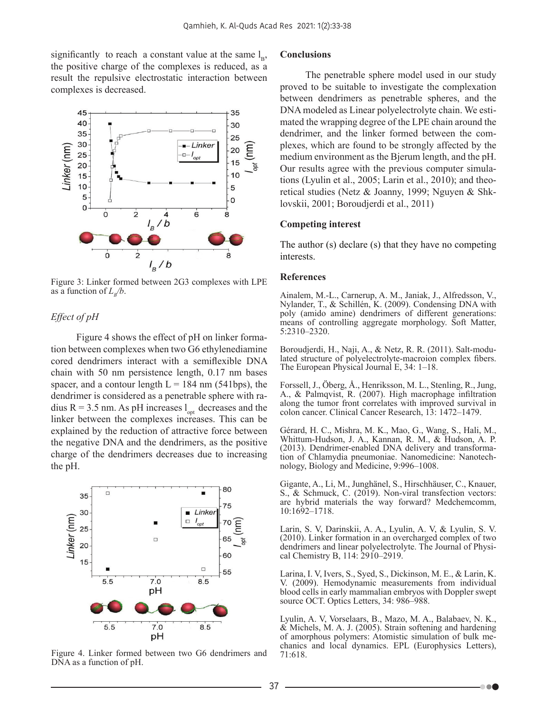significantly to reach a constant value at the same  $l_{\rm B}$ , the positive charge of the complexes is reduced, as a result the repulsive electrostatic interaction between complexes is decreased.



Figure 3: Linker formed between 2G3 complexes with LPE as a function of  $L_p/b$ .

# *Effect of pH*

Figure 4 shows the effect of pH on linker formation between complexes when two G6 ethylenediamine cored dendrimers interact with a semiflexible DNA chain with 50 nm persistence length, 0.17 nm bases spacer, and a contour length  $L = 184$  nm (541bps), the dendrimer is considered as a penetrable sphere with radius R = 3.5 nm. As pH increases  $l_{\text{opt}}$  decreases and the linker between the complexes increases. This can be explained by the reduction of attractive force between the negative DNA and the dendrimers, as the positive charge of the dendrimers decreases due to increasing the pH.



Figure 4. Linker formed between two G6 dendrimers and DNA as a function of pH.

#### **Conclusions**

The penetrable sphere model used in our study proved to be suitable to investigate the complexation between dendrimers as penetrable spheres, and the DNA modeled as Linear polyelectrolyte chain. We estimated the wrapping degree of the LPE chain around the dendrimer, and the linker formed between the complexes, which are found to be strongly affected by the medium environment as the Bjerum length, and the pH. Our results agree with the previous computer simulations (Lyulin et al., 2005; Larin et al., 2010); and theoretical studies (Netz & Joanny, 1999; Nguyen & Shklovskii, 2001; Boroudjerdi et al., 2011)

#### **Competing interest**

The author (s) declare (s) that they have no competing interests.

#### **References**

Ainalem, M.-L., Carnerup, A. M., Janiak, J., Alfredsson, V., Nylander, T., & Schillén, K. (2009). Condensing DNA with poly (amido amine) dendrimers of different generations: means of controlling aggregate morphology. Soft Matter, 5:2310–2320.

Boroudjerdi, H., Naji, A., & Netz, R. R. (2011). Salt-modulated structure of polyelectrolyte-macroion complex fibers. The European Physical Journal E, 34: 1–18.

Forssell, J., Öberg, Å., Henriksson, M. L., Stenling, R., Jung, A., & Palmqvist, R. (2007). High macrophage infiltration along the tumor front correlates with improved survival in colon cancer. Clinical Cancer Research, 13: 1472–1479.

Gérard, H. C., Mishra, M. K., Mao, G., Wang, S., Hali, M., Whittum-Hudson, J. A., Kannan, R. M., & Hudson, A. P. (2013). Dendrimer-enabled DNA delivery and transformation of Chlamydia pneumoniae. Nanomedicine: Nanotechnology, Biology and Medicine, 9:996–1008.

Gigante, A., Li, M., Junghänel, S., Hirschhäuser, C., Knauer, S., & Schmuck, C. (2019). Non-viral transfection vectors: are hybrid materials the way forward? Medchemcomm, 10:1692–1718.

Larin, S. V, Darinskii, A. A., Lyulin, A. V, & Lyulin, S. V. (2010). Linker formation in an overcharged complex of two dendrimers and linear polyelectrolyte. The Journal of Physical Chemistry B, 114: 2910–2919.

Larina, I. V, Ivers, S., Syed, S., Dickinson, M. E., & Larin, K. V. (2009). Hemodynamic measurements from individual blood cells in early mammalian embryos with Doppler swept source OCT. Optics Letters, 34: 986–988.

Lyulin, A. V, Vorselaars, B., Mazo, M. A., Balabaev, N. K., & Michels, M. A. J. (2005). Strain softening and hardening of amorphous polymers: Atomistic simulation of bulk mechanics and local dynamics. EPL (Europhysics Letters), 71:618.

. . .